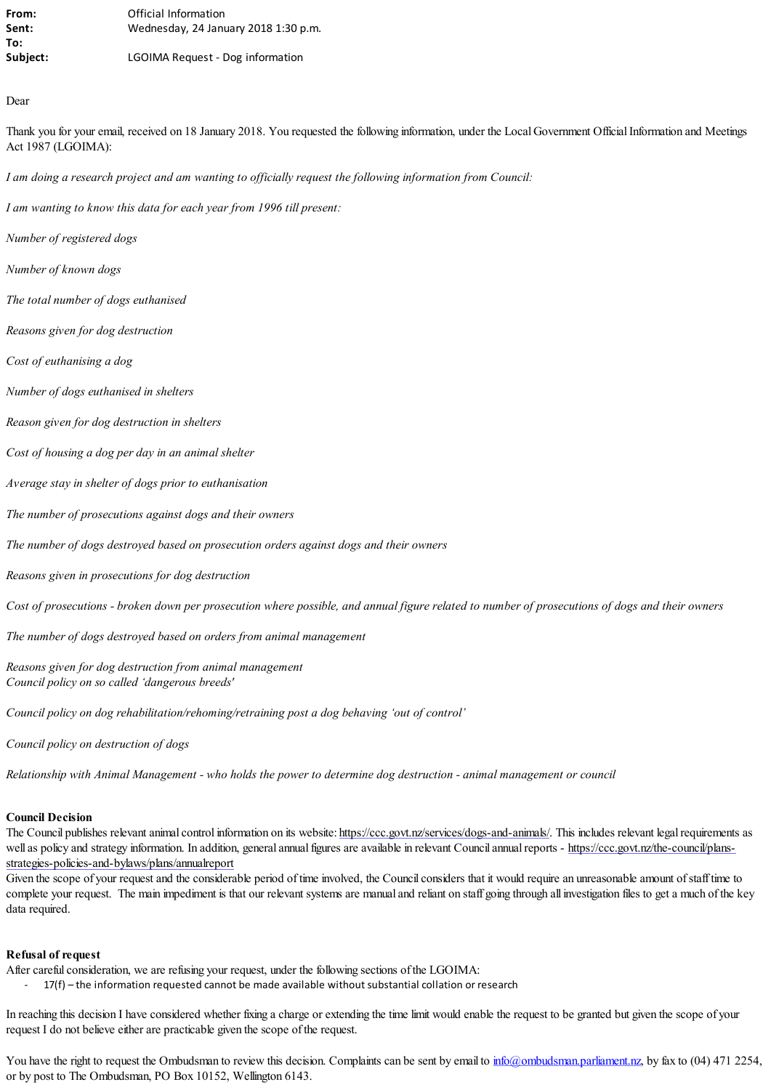| From:    | Official Information                 |
|----------|--------------------------------------|
| Sent:    | Wednesday, 24 January 2018 1:30 p.m. |
| To:      |                                      |
| Subject: | LGOIMA Request - Dog information     |

## Dear

Thank you for your email, received on 18 January 2018. You requested the following information, under the Local Government Official Information and Meetings Act 1987 (LGOIMA):

*I am doing a research project and am wanting to officially request the following information from Council:*

*I am wanting to know this data for each year from 1996 till present:* 

- *Number of registered dogs*
- *Number of known dogs*
- *The total number of dogs euthanised*
- *Reasons given for dog destruction*
- *Cost of euthanising a dog*
- *Number of dogs euthanised in shelters*
- *Reason given for dog destruction in shelters*

*Cost of housing a dog per day in an animal shelter* 

*Average stay in shelter of dogs prior to euthanisation* 

- *The number of prosecutions against dogs and their owners*
- *The number of dogs destroyed based on prosecution orders against dogs and their owners*

*Reasons given in prosecutions for dog destruction* 

*Cost of prosecutions - broken down per prosecution where possible, and annual figure related to number of prosecutions of dogs and their owners*

*The number of dogs destroyed based on orders from animal management* 

*Reasons given for dog destruction from animal management Council policy on so called 'dangerous breeds'* 

*Council policy on dog rehabilitation/rehoming/retraining post a dog behaving 'out of control'* 

*Council policy on destruction of dogs* 

*Relationship with Animal Management - who holds the power to determine dog destruction - animal management or council*

## **Council Decision**

The Council publishes relevant animal control information on its website: <https://ccc.govt.nz/services/dogs-and-animals/>. This includes relevant legal requirements as well as policy and strategy information. In addition, general annual figures are available in relevant Council annual reports - [https://ccc.govt.nz/the-council/plans](https://ccc.govt.nz/the-council/plans-strategies-policies-and-bylaws/plans/annualreport)[strategies-policies-and-bylaws/plans/annualreport](https://ccc.govt.nz/the-council/plans-strategies-policies-and-bylaws/plans/annualreport)

Given the scope of your request and the considerable period of time involved, the Council considers that it would require an unreasonable amount of staff time to complete your request. The main impediment is that our relevant systems are manual and reliant on staff going through all investigation files to get a much of the key data required.

## **Refusal of request**

After careful consideration, we are refusing your request, under the following sections of the LGOIMA:

- 17(f) – the information requested cannot be made available without substantial collation or research

In reaching this decision I have considered whether fixing a charge or extending the time limit would enable the request to be granted but given the scope of your request I do not believe either are practicable given the scope of the request.

You have the right to request the Ombudsman to review this decision. Complaints can be sent by email to [info@ombudsman.parliament.nz,](mailto:info@ombudsman.parliament.nz) by fax to (04) 471 2254, or by post to The Ombudsman, PO Box 10152, Wellington 6143.